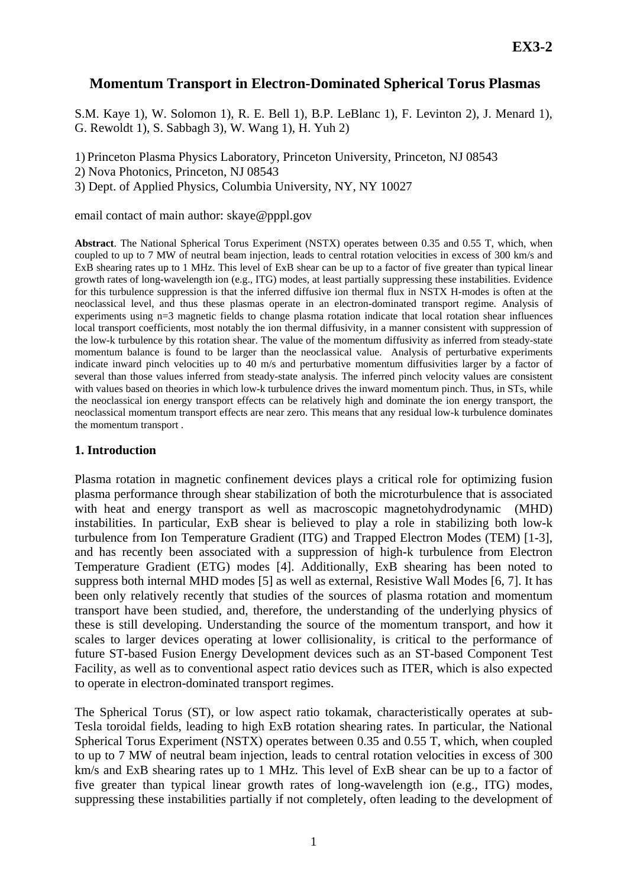# **Momentum Transport in Electron-Dominated Spherical Torus Plasmas**

S.M. Kaye 1), W. Solomon 1), R. E. Bell 1), B.P. LeBlanc 1), F. Levinton 2), J. Menard 1), G. Rewoldt 1), S. Sabbagh 3), W. Wang 1), H. Yuh 2)

1) Princeton Plasma Physics Laboratory, Princeton University, Princeton, NJ 08543

2) Nova Photonics, Princeton, NJ 08543

3) Dept. of Applied Physics, Columbia University, NY, NY 10027

email contact of main author: skaye@pppl.gov

**Abstract**. The National Spherical Torus Experiment (NSTX) operates between 0.35 and 0.55 T, which, when coupled to up to 7 MW of neutral beam injection, leads to central rotation velocities in excess of 300 km/s and ExB shearing rates up to 1 MHz. This level of ExB shear can be up to a factor of five greater than typical linear growth rates of long-wavelength ion (e.g., ITG) modes, at least partially suppressing these instabilities. Evidence for this turbulence suppression is that the inferred diffusive ion thermal flux in NSTX H-modes is often at the neoclassical level, and thus these plasmas operate in an electron-dominated transport regime. Analysis of experiments using n=3 magnetic fields to change plasma rotation indicate that local rotation shear influences local transport coefficients, most notably the ion thermal diffusivity, in a manner consistent with suppression of the low-k turbulence by this rotation shear. The value of the momentum diffusivity as inferred from steady-state momentum balance is found to be larger than the neoclassical value. Analysis of perturbative experiments indicate inward pinch velocities up to 40 m/s and perturbative momentum diffusivities larger by a factor of several than those values inferred from steady-state analysis. The inferred pinch velocity values are consistent with values based on theories in which low-k turbulence drives the inward momentum pinch. Thus, in STs, while the neoclassical ion energy transport effects can be relatively high and dominate the ion energy transport, the neoclassical momentum transport effects are near zero. This means that any residual low-k turbulence dominates the momentum transport .

### **1. Introduction**

Plasma rotation in magnetic confinement devices plays a critical role for optimizing fusion plasma performance through shear stabilization of both the microturbulence that is associated with heat and energy transport as well as macroscopic magnetohydrodynamic (MHD) instabilities. In particular, ExB shear is believed to play a role in stabilizing both low-k turbulence from Ion Temperature Gradient (ITG) and Trapped Electron Modes (TEM) [1-3], and has recently been associated with a suppression of high-k turbulence from Electron Temperature Gradient (ETG) modes [4]. Additionally, ExB shearing has been noted to suppress both internal MHD modes [5] as well as external, Resistive Wall Modes [6, 7]. It has been only relatively recently that studies of the sources of plasma rotation and momentum transport have been studied, and, therefore, the understanding of the underlying physics of these is still developing. Understanding the source of the momentum transport, and how it scales to larger devices operating at lower collisionality, is critical to the performance of future ST-based Fusion Energy Development devices such as an ST-based Component Test Facility, as well as to conventional aspect ratio devices such as ITER, which is also expected to operate in electron-dominated transport regimes.

The Spherical Torus (ST), or low aspect ratio tokamak, characteristically operates at sub-Tesla toroidal fields, leading to high ExB rotation shearing rates. In particular, the National Spherical Torus Experiment (NSTX) operates between 0.35 and 0.55 T, which, when coupled to up to 7 MW of neutral beam injection, leads to central rotation velocities in excess of 300 km/s and ExB shearing rates up to 1 MHz. This level of ExB shear can be up to a factor of five greater than typical linear growth rates of long-wavelength ion (e.g., ITG) modes, suppressing these instabilities partially if not completely, often leading to the development of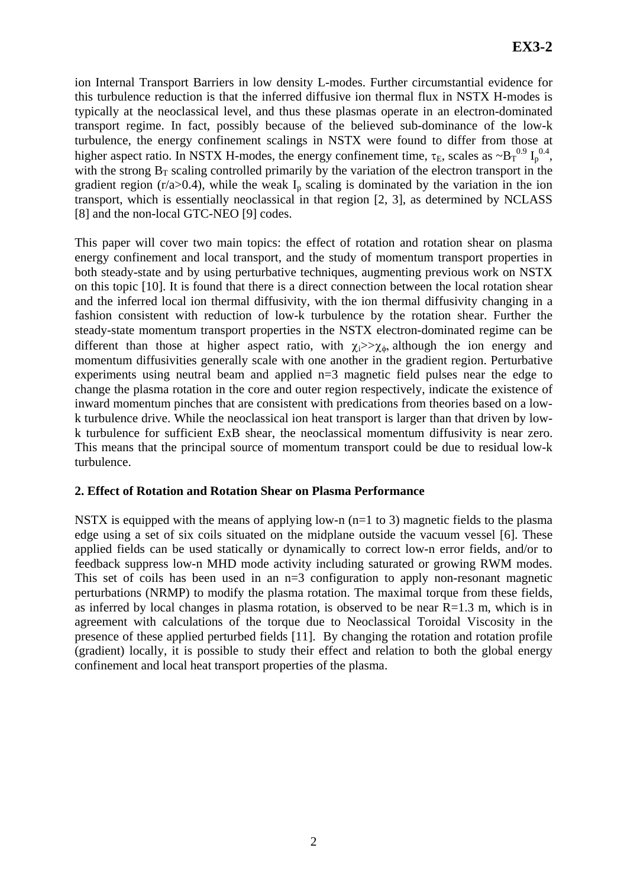ion Internal Transport Barriers in low density L-modes. Further circumstantial evidence for this turbulence reduction is that the inferred diffusive ion thermal flux in NSTX H-modes is typically at the neoclassical level, and thus these plasmas operate in an electron-dominated transport regime. In fact, possibly because of the believed sub-dominance of the low-k turbulence, the energy confinement scalings in NSTX were found to differ from those at higher aspect ratio. In NSTX H-modes, the energy confinement time,  $\tau_E$ , scales as  $\sim B_T^{0.9} I_p^{0.4}$ , with the strong  $B_T$  scaling controlled primarily by the variation of the electron transport in the gradient region ( $r/a > 0.4$ ), while the weak  $I<sub>p</sub>$  scaling is dominated by the variation in the ion transport, which is essentially neoclassical in that region [2, 3], as determined by NCLASS [8] and the non-local GTC-NEO [9] codes.

This paper will cover two main topics: the effect of rotation and rotation shear on plasma energy confinement and local transport, and the study of momentum transport properties in both steady-state and by using perturbative techniques, augmenting previous work on NSTX on this topic [10]. It is found that there is a direct connection between the local rotation shear and the inferred local ion thermal diffusivity, with the ion thermal diffusivity changing in a fashion consistent with reduction of low-k turbulence by the rotation shear. Further the steady-state momentum transport properties in the NSTX electron-dominated regime can be different than those at higher aspect ratio, with  $\chi_i >> \chi_{\phi}$ , although the ion energy and momentum diffusivities generally scale with one another in the gradient region. Perturbative experiments using neutral beam and applied n=3 magnetic field pulses near the edge to change the plasma rotation in the core and outer region respectively, indicate the existence of inward momentum pinches that are consistent with predications from theories based on a lowk turbulence drive. While the neoclassical ion heat transport is larger than that driven by lowk turbulence for sufficient ExB shear, the neoclassical momentum diffusivity is near zero. This means that the principal source of momentum transport could be due to residual low-k turbulence.

## **2. Effect of Rotation and Rotation Shear on Plasma Performance**

NSTX is equipped with the means of applying low-n  $(n=1 \text{ to } 3)$  magnetic fields to the plasma edge using a set of six coils situated on the midplane outside the vacuum vessel [6]. These applied fields can be used statically or dynamically to correct low-n error fields, and/or to feedback suppress low-n MHD mode activity including saturated or growing RWM modes. This set of coils has been used in an n=3 configuration to apply non-resonant magnetic perturbations (NRMP) to modify the plasma rotation. The maximal torque from these fields, as inferred by local changes in plasma rotation, is observed to be near  $R=1.3$  m, which is in agreement with calculations of the torque due to Neoclassical Toroidal Viscosity in the presence of these applied perturbed fields [11]. By changing the rotation and rotation profile (gradient) locally, it is possible to study their effect and relation to both the global energy confinement and local heat transport properties of the plasma.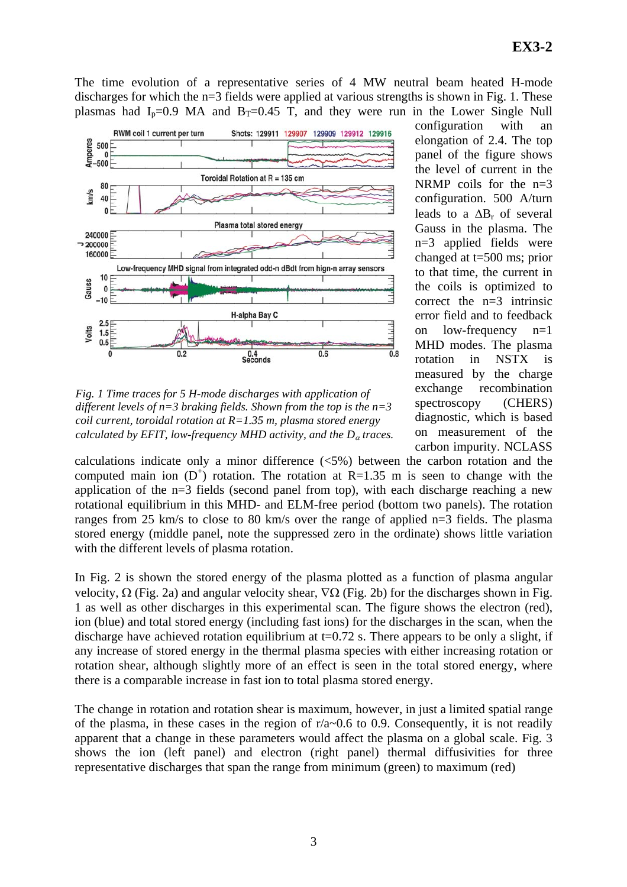The time evolution of a representative series of 4 MW neutral beam heated H-mode discharges for which the  $n=3$  fields were applied at various strengths is shown in Fig. 1. These plasmas had  $I_n=0.9$  MA and  $B_T=0.45$  T, and they were run in the Lower Single Null



*Fig. 1 Time traces for 5 H-mode discharges with application of different levels of n=3 braking fields. Shown from the top is the n=3 coil current, toroidal rotation at R=1.35 m, plasma stored energy calculated by EFIT, low-frequency MHD activity, and the D<sub>α</sub> traces.* 

configuration with an elongation of 2.4. The top panel of the figure shows the level of current in the NRMP coils for the  $n=3$ configuration. 500 A/turn leads to a  $\Delta B_r$  of several Gauss in the plasma. The n=3 applied fields were changed at t=500 ms; prior to that time, the current in the coils is optimized to correct the  $n=3$  intrinsic error field and to feedback on low-frequency n=1 MHD modes. The plasma rotation in NSTX is measured by the charge exchange recombination spectroscopy (CHERS) diagnostic, which is based on measurement of the carbon impurity. NCLASS

calculations indicate only a minor difference (<5%) between the carbon rotation and the computed main ion  $(D^+)$  rotation. The rotation at R=1.35 m is seen to change with the application of the n=3 fields (second panel from top), with each discharge reaching a new rotational equilibrium in this MHD- and ELM-free period (bottom two panels). The rotation ranges from 25 km/s to close to 80 km/s over the range of applied n=3 fields. The plasma stored energy (middle panel, note the suppressed zero in the ordinate) shows little variation with the different levels of plasma rotation.

In Fig. 2 is shown the stored energy of the plasma plotted as a function of plasma angular velocity,  $\Omega$  (Fig. 2a) and angular velocity shear,  $\nabla\Omega$  (Fig. 2b) for the discharges shown in Fig. 1 as well as other discharges in this experimental scan. The figure shows the electron (red), ion (blue) and total stored energy (including fast ions) for the discharges in the scan, when the discharge have achieved rotation equilibrium at  $t=0.72$  s. There appears to be only a slight, if any increase of stored energy in the thermal plasma species with either increasing rotation or rotation shear, although slightly more of an effect is seen in the total stored energy, where there is a comparable increase in fast ion to total plasma stored energy.

The change in rotation and rotation shear is maximum, however, in just a limited spatial range of the plasma, in these cases in the region of  $r/a~0.6$  to 0.9. Consequently, it is not readily apparent that a change in these parameters would affect the plasma on a global scale. Fig. 3 shows the ion (left panel) and electron (right panel) thermal diffusivities for three representative discharges that span the range from minimum (green) to maximum (red)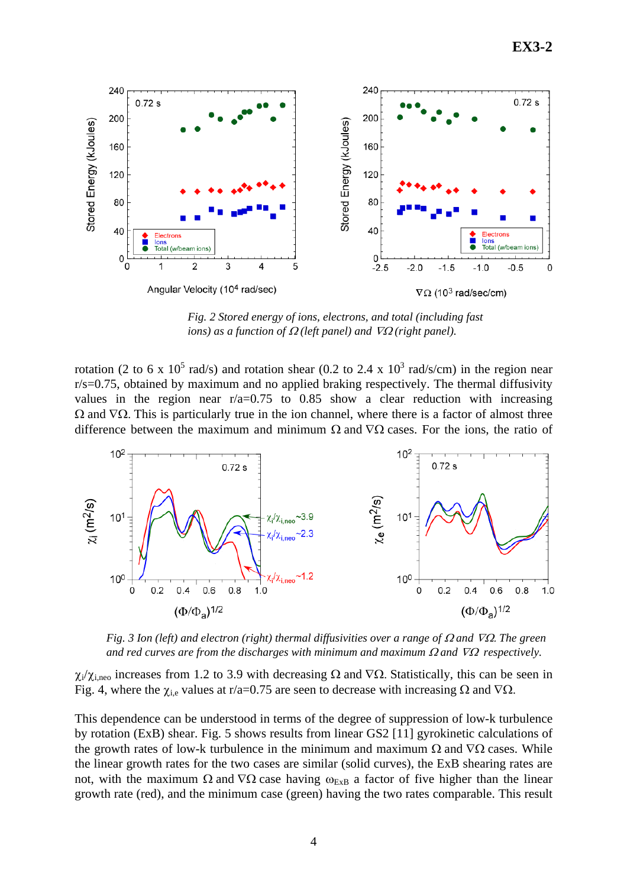

*Fig. 2 Stored energy of ions, electrons, and total (including fast ions)* as a function of  $\Omega$  (left panel) and  $\nabla \Omega$  (right panel).

rotation (2 to 6 x 10<sup>5</sup> rad/s) and rotation shear (0.2 to 2.4 x 10<sup>3</sup> rad/s/cm) in the region near r/s=0.75, obtained by maximum and no applied braking respectively. The thermal diffusivity values in the region near  $r/a=0.75$  to 0.85 show a clear reduction with increasing  $Ω$  and  $∇Ω$ . This is particularly true in the ion channel, where there is a factor of almost three difference between the maximum and minimum  $\Omega$  and  $\nabla\Omega$  cases. For the ions, the ratio of



*Fig. 3 Ion (left) and electron (right) thermal diffusivities over a range of* Ω *and* ∇Ω. *The green and red curves are from the discharges with minimum and maximum* Ω *and* ∇Ω *respectively.* 

 $\chi_i/\chi_{i,\text{neo}}$  increases from 1.2 to 3.9 with decreasing Ω and  $\nabla\Omega$ . Statistically, this can be seen in Fig. 4, where the  $\chi_{i,e}$  values at r/a=0.75 are seen to decrease with increasing  $\Omega$  and  $\nabla\Omega$ .

This dependence can be understood in terms of the degree of suppression of low-k turbulence by rotation (ExB) shear. Fig. 5 shows results from linear GS2 [11] gyrokinetic calculations of the growth rates of low-k turbulence in the minimum and maximum  $\Omega$  and  $\nabla\Omega$  cases. While the linear growth rates for the two cases are similar (solid curves), the ExB shearing rates are not, with the maximum Ω and  $\nabla\Omega$  case having  $\omega_{ExB}$  a factor of five higher than the linear growth rate (red), and the minimum case (green) having the two rates comparable. This result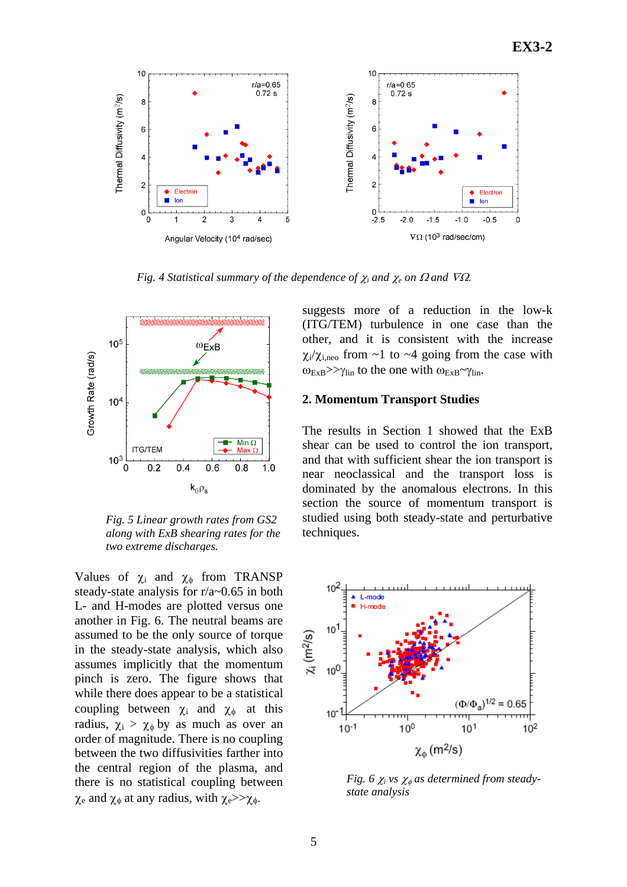

*Fig. 4 Statistical summary of the dependence of*  $\chi_i$  *and*  $\chi_e$  *on*  $\Omega$  *and*  $\nabla\Omega$ *.* 



*Fig. 5 Linear growth rates from GS2 along with ExB shearing rates for the two extreme discharges.* 

Values of  $\chi_i$  and  $\chi_{\phi}$  from TRANSP steady-state analysis for r/a~0.65 in both L- and H-modes are plotted versus one another in Fig. 6. The neutral beams are assumed to be the only source of torque in the steady-state analysis, which also assumes implicitly that the momentum pinch is zero. The figure shows that while there does appear to be a statistical coupling between  $\chi_i$  and  $\chi_{\phi}$  at this radius,  $\chi_i > \chi_{\phi}$  by as much as over an order of magnitude. There is no coupling between the two diffusivities farther into the central region of the plasma, and there is no statistical coupling between  $\chi_e$  and  $\chi_{\phi}$  at any radius, with  $\chi_e$ >> $\chi_{\phi}$ .

suggests more of a reduction in the low-k (ITG/TEM) turbulence in one case than the other, and it is consistent with the increase  $\chi_i/\chi_{i,\text{neo}}$  from ~1 to ~4 going from the case with  $\omega_{\text{ExB}} >> \gamma_{\text{lin}}$  to the one with  $\omega_{\text{ExB}} \sim \gamma_{\text{lin}}$ .

#### **2. Momentum Transport Studies**

The results in Section 1 showed that the ExB shear can be used to control the ion transport, and that with sufficient shear the ion transport is near neoclassical and the transport loss is dominated by the anomalous electrons. In this section the source of momentum transport is studied using both steady-state and perturbative techniques.



*Fig.* 6  $\chi$ *<sub><i>i*</sub> vs  $\chi$ <sup>*ρ*</sup></sup> *as determined from steadystate analysis*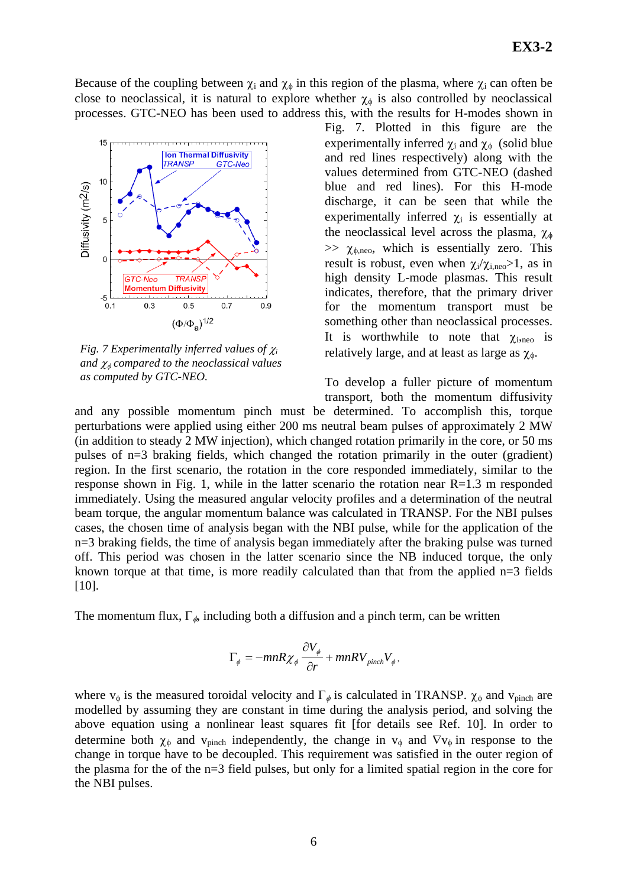Because of the coupling between  $\chi_i$  and  $\chi_{\phi}$  in this region of the plasma, where  $\chi_i$  can often be close to neoclassical, it is natural to explore whether  $\chi_{\phi}$  is also controlled by neoclassical processes. GTC-NEO has been used to address this, with the results for H-modes shown in



*Fig. 7 Experimentally inferred values of* <sup>χ</sup>*<sup>i</sup> and* <sup>χ</sup><sup>φ</sup> *compared to the neoclassical values as computed by GTC-NEO.* 

Fig. 7. Plotted in this figure are the experimentally inferred  $\chi_i$  and  $\chi_{\phi}$  (solid blue and red lines respectively) along with the values determined from GTC-NEO (dashed blue and red lines). For this H-mode discharge, it can be seen that while the experimentally inferred  $\chi_i$  is essentially at the neoclassical level across the plasma,  $\chi_{\phi}$  $\gg$   $\chi_{\phi,\text{neo}}$ , which is essentially zero. This result is robust, even when  $\chi_i/\chi_{i, \text{neo}} > 1$ , as in high density L-mode plasmas. This result indicates, therefore, that the primary driver for the momentum transport must be something other than neoclassical processes. It is worthwhile to note that  $\chi_{i, \text{neo}}$  is relatively large, and at least as large as  $\chi_{\phi}$ .

To develop a fuller picture of momentum transport, both the momentum diffusivity

and any possible momentum pinch must be determined. To accomplish this, torque perturbations were applied using either 200 ms neutral beam pulses of approximately 2 MW (in addition to steady 2 MW injection), which changed rotation primarily in the core, or 50 ms pulses of n=3 braking fields, which changed the rotation primarily in the outer (gradient) region. In the first scenario, the rotation in the core responded immediately, similar to the response shown in Fig. 1, while in the latter scenario the rotation near R=1.3 m responded immediately. Using the measured angular velocity profiles and a determination of the neutral beam torque, the angular momentum balance was calculated in TRANSP. For the NBI pulses cases, the chosen time of analysis began with the NBI pulse, while for the application of the n=3 braking fields, the time of analysis began immediately after the braking pulse was turned off. This period was chosen in the latter scenario since the NB induced torque, the only known torque at that time, is more readily calculated than that from the applied n=3 fields [10].

The momentum flux,  $\Gamma_{\phi}$ , including both a diffusion and a pinch term, can be written

$$
\Gamma_{\phi} = -mnR\chi_{\phi}\frac{\partial V_{\phi}}{\partial r} + mnRV_{pinch}V_{\phi},
$$

where  $v_{\phi}$  is the measured toroidal velocity and  $\Gamma_{\phi}$  is calculated in TRANSP.  $\chi_{\phi}$  and  $v_{\text{pinch}}$  are modelled by assuming they are constant in time during the analysis period, and solving the above equation using a nonlinear least squares fit [for details see Ref. 10]. In order to determine both  $\chi_{\phi}$  and  $v_{\text{pinch}}$  independently, the change in  $v_{\phi}$  and  $\nabla v_{\phi}$  in response to the change in torque have to be decoupled. This requirement was satisfied in the outer region of the plasma for the of the n=3 field pulses, but only for a limited spatial region in the core for the NBI pulses.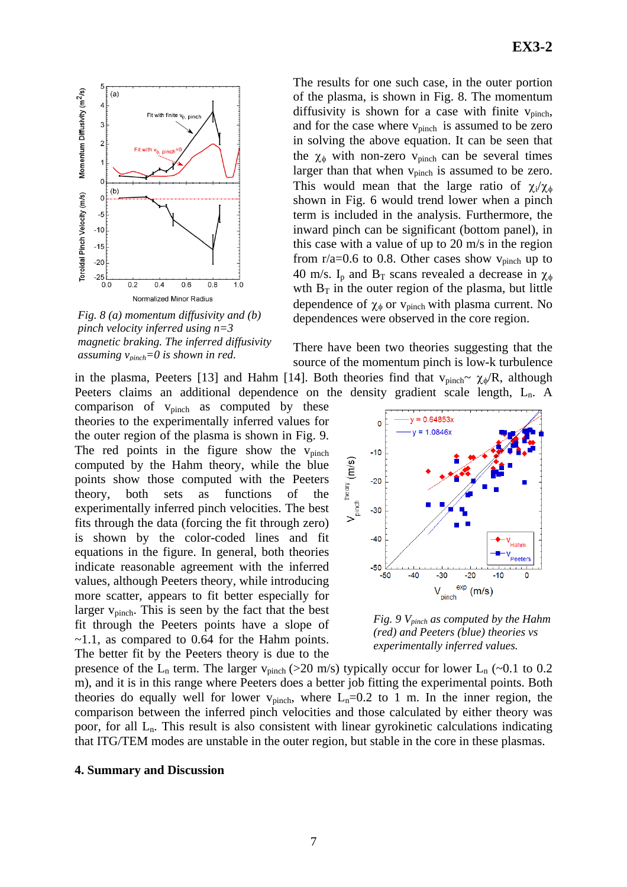

*Fig. 8 (a) momentum diffusivity and (b) pinch velocity inferred using n=3 magnetic braking. The inferred diffusivity assuming vpinch=0 is shown in red.* 

Peeters claims an additional dependence on the density gradient scale length, L<sub>n</sub>. A comparison of  $v_{pinch}$  as computed by these theories to the experimentally inferred values for the outer region of the plasma is shown in Fig. 9. The red points in the figure show the  $v_{pinch}$ computed by the Hahm theory, while the blue points show those computed with the Peeters theory, both sets as functions of the experimentally inferred pinch velocities. The best fits through the data (forcing the fit through zero) is shown by the color-coded lines and fit equations in the figure. In general, both theories indicate reasonable agreement with the inferred values, although Peeters theory, while introducing more scatter, appears to fit better especially for larger  $v_{\text{pinch}}$ . This is seen by the fact that the best fit through the Peeters points have a slope of  $\sim$ 1.1, as compared to 0.64 for the Hahm points. The better fit by the Peeters theory is due to the

The results for one such case, in the outer portion of the plasma, is shown in Fig. 8. The momentum diffusivity is shown for a case with finite  $v_{\text{pinch}}$ , and for the case where  $v_{pinch}$  is assumed to be zero in solving the above equation. It can be seen that the  $\chi_{\phi}$  with non-zero v<sub>pinch</sub> can be several times larger than that when  $v_{pinch}$  is assumed to be zero. This would mean that the large ratio of  $\chi_i/\chi_{\phi}$ shown in Fig. 6 would trend lower when a pinch term is included in the analysis. Furthermore, the inward pinch can be significant (bottom panel), in this case with a value of up to 20 m/s in the region from  $r/a=0.6$  to 0.8. Other cases show  $v_{pinch}$  up to 40 m/s. I<sub>p</sub> and B<sub>T</sub> scans revealed a decrease in  $\chi_{\phi}$ wth  $B_T$  in the outer region of the plasma, but little dependence of  $\chi_{\phi}$  or  $v_{pinch}$  with plasma current. No dependences were observed in the core region.

There have been two theories suggesting that the source of the momentum pinch is low-k turbulence in the plasma, Peeters [13] and Hahm [14]. Both theories find that  $v_{pinch} \sim \chi_{\phi}/R$ , although



*Fig. 9 Vpinch as computed by the Hahm (red) and Peeters (blue) theories vs experimentally inferred values.* 

presence of the  $L_n$  term. The larger  $v_{pinch}$  (>20 m/s) typically occur for lower  $L_n$  (~0.1 to 0.2 m), and it is in this range where Peeters does a better job fitting the experimental points. Both theories do equally well for lower  $v_{pinch}$ , where  $L_n=0.2$  to 1 m. In the inner region, the comparison between the inferred pinch velocities and those calculated by either theory was poor, for all  $L_n$ . This result is also consistent with linear gyrokinetic calculations indicating that ITG/TEM modes are unstable in the outer region, but stable in the core in these plasmas.

#### **4. Summary and Discussion**